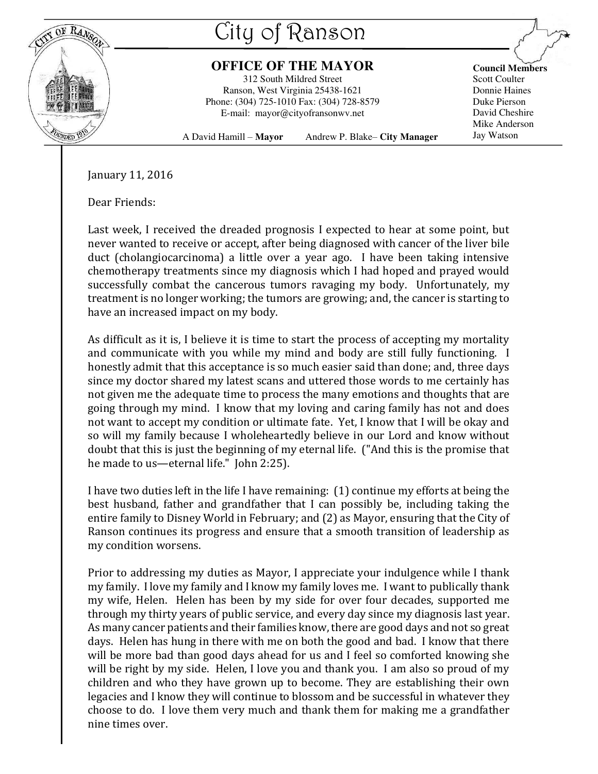

## City of Ranson

## **OFFICE OF THE MAYOR**

312 South Mildred Street Ranson, West Virginia 25438-1621 Phone: (304) 725-1010 Fax: (304) 728-8579 E-mail: mayor@cityofransonwv.net

A David Hamill – **Mayor** Andrew P. Blake– **City Manager** Jay Watson

**Council Members**  Scott Coulter Donnie Haines Duke Pierson David Cheshire Mike Anderson

January 11, 2016

Dear Friends:

Last week, I received the dreaded prognosis I expected to hear at some point, but never wanted to receive or accept, after being diagnosed with cancer of the liver bile duct (cholangiocarcinoma) a little over a year ago. I have been taking intensive chemotherapy treatments since my diagnosis which I had hoped and prayed would successfully combat the cancerous tumors ravaging my body. Unfortunately, my treatment is no longer working; the tumors are growing; and, the cancer is starting to have an increased impact on my body.

As difficult as it is, I believe it is time to start the process of accepting my mortality and communicate with you while my mind and body are still fully functioning. I honestly admit that this acceptance is so much easier said than done; and, three days since my doctor shared my latest scans and uttered those words to me certainly has not given me the adequate time to process the many emotions and thoughts that are going through my mind. I know that my loving and caring family has not and does not want to accept my condition or ultimate fate. Yet, I know that I will be okay and so will my family because I wholeheartedly believe in our Lord and know without doubt that this is just the beginning of my eternal life. ("And this is the promise that he made to us—eternal life." John 2:25).

I have two duties left in the life I have remaining: (1) continue my efforts at being the best husband, father and grandfather that I can possibly be, including taking the entire family to Disney World in February; and (2) as Mayor, ensuring that the City of Ranson continues its progress and ensure that a smooth transition of leadership as my condition worsens.

Prior to addressing my duties as Mayor, I appreciate your indulgence while I thank my family. I love my family and I know my family loves me. I want to publically thank my wife, Helen. Helen has been by my side for over four decades, supported me through my thirty years of public service, and every day since my diagnosis last year. As many cancer patients and their families know, there are good days and not so great days. Helen has hung in there with me on both the good and bad. I know that there will be more bad than good days ahead for us and I feel so comforted knowing she will be right by my side. Helen, I love you and thank you. I am also so proud of my children and who they have grown up to become. They are establishing their own legacies and I know they will continue to blossom and be successful in whatever they choose to do. I love them very much and thank them for making me a grandfather nine times over.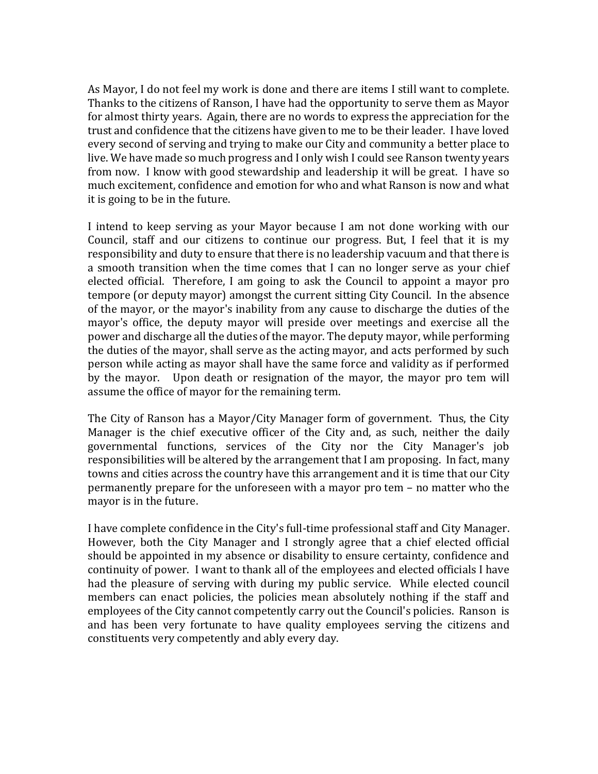As Mayor, I do not feel my work is done and there are items I still want to complete. Thanks to the citizens of Ranson, I have had the opportunity to serve them as Mayor for almost thirty years. Again, there are no words to express the appreciation for the trust and confidence that the citizens have given to me to be their leader. I have loved every second of serving and trying to make our City and community a better place to live. We have made so much progress and I only wish I could see Ranson twenty years from now. I know with good stewardship and leadership it will be great. I have so much excitement, confidence and emotion for who and what Ranson is now and what it is going to be in the future.

I intend to keep serving as your Mayor because I am not done working with our Council, staff and our citizens to continue our progress. But, I feel that it is my responsibility and duty to ensure that there is no leadership vacuum and that there is a smooth transition when the time comes that I can no longer serve as your chief elected official. Therefore, I am going to ask the Council to appoint a mayor pro tempore (or deputy mayor) amongst the current sitting City Council. In the absence of the mayor, or the mayor's inability from any cause to discharge the duties of the mayor's office, the deputy mayor will preside over meetings and exercise all the power and discharge all the duties of the mayor. The deputy mayor, while performing the duties of the mayor, shall serve as the acting mayor, and acts performed by such person while acting as mayor shall have the same force and validity as if performed by the mayor. Upon death or resignation of the mayor, the mayor pro tem will assume the office of mayor for the remaining term.

The City of Ranson has a Mayor/City Manager form of government. Thus, the City Manager is the chief executive officer of the City and, as such, neither the daily governmental functions, services of the City nor the City Manager's job responsibilities will be altered by the arrangement that I am proposing. In fact, many towns and cities across the country have this arrangement and it is time that our City permanently prepare for the unforeseen with a mayor pro tem – no matter who the mayor is in the future.

I have complete confidence in the City's full-time professional staff and City Manager. However, both the City Manager and I strongly agree that a chief elected official should be appointed in my absence or disability to ensure certainty, confidence and continuity of power. I want to thank all of the employees and elected officials I have had the pleasure of serving with during my public service. While elected council members can enact policies, the policies mean absolutely nothing if the staff and employees of the City cannot competently carry out the Council's policies. Ranson is and has been very fortunate to have quality employees serving the citizens and constituents very competently and ably every day.